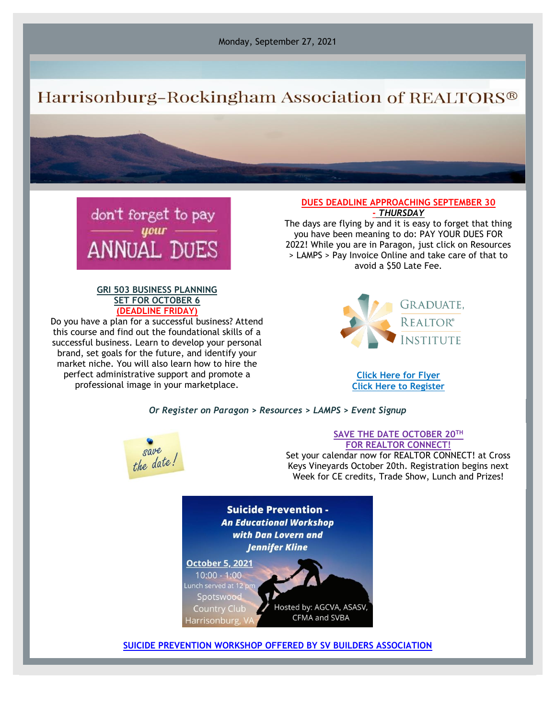Monday, September 27, 2021

# Harrisonburg-Rockingham Association of REALTORS®



## **GRI 503 BUSINESS PLANNING SET FOR OCTOBER 6 (DEADLINE FRIDAY)**

Do you have a plan for a successful business? Attend this course and find out the foundational skills of a successful business. Learn to develop your personal brand, set goals for the future, and identify your market niche. You will also learn how to hire the perfect administrative support and promote a professional image in your marketplace.

#### **DUES DEADLINE APPROACHING SEPTEMBER 30 -** *THURSDAY*

The days are flying by and it is easy to forget that thing you have been meaning to do: PAY YOUR DUES FOR 2022! While you are in Paragon, just click on Resources > LAMPS > Pay Invoice Online and take care of that to avoid a \$50 Late Fee.



**[Click Here for Flyer](https://files.constantcontact.com/917f92b5101/e1cc03d9-4bfa-416f-8508-59994577fe1b.pdf) [Click Here to Register](https://hrar.getlamps.net/)**

# *Or Register on Paragon > Resources > LAMPS > Event Signup*



### **SAVE THE DATE OCTOBER 20TH FOR REALTOR CONNECT!**

Set your calendar now for REALTOR CONNECT! at Cross Keys Vineyards October 20th. Registration begins next Week for CE credits, Trade Show, Lunch and Prizes!

**Suicide Prevention -An Educational Workshop** with Dan Lovern and **Jennifer Kline October 5, 2021** 



**[SUICIDE PREVENTION WORKSHOP OFFERED BY SV BUILDERS ASSOCIATION](https://blueridge.cfma.org/events/details/suicide-prevention-lunch-and-learn-241)**